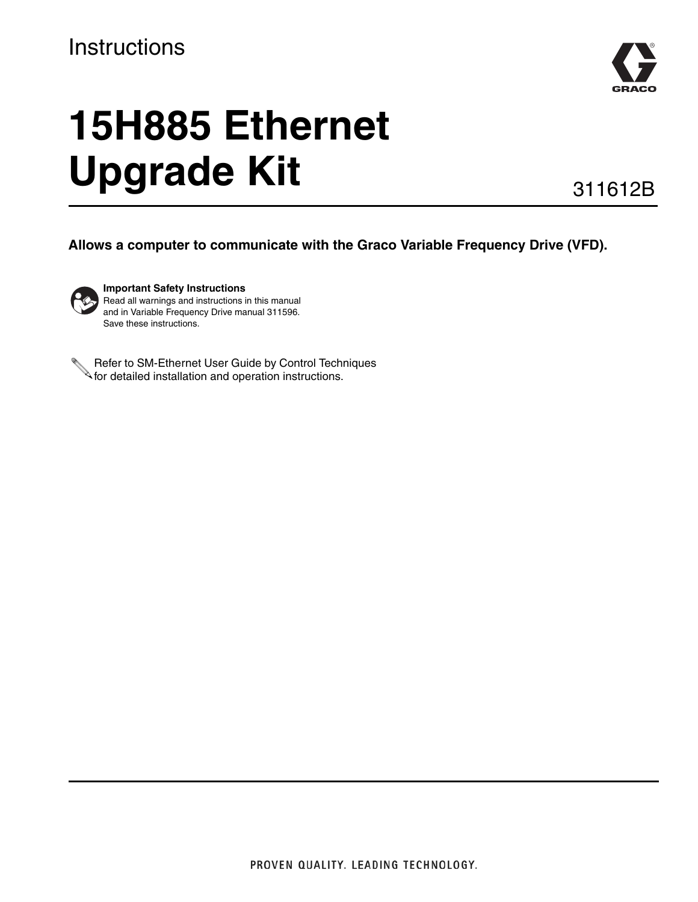#### **Instructions**



# **15H885 Ethernet Upgrade Kit**

311612B

**Allows a computer to communicate with the Graco Variable Frequency Drive (VFD).**



**Important Safety Instructions** Read all warnings and instructions in this manual and in Variable Frequency Drive manual 311596. Save these instructions.

Refer to SM-Ethernet User Guide by Control Techniques for detailed installation and operation instructions.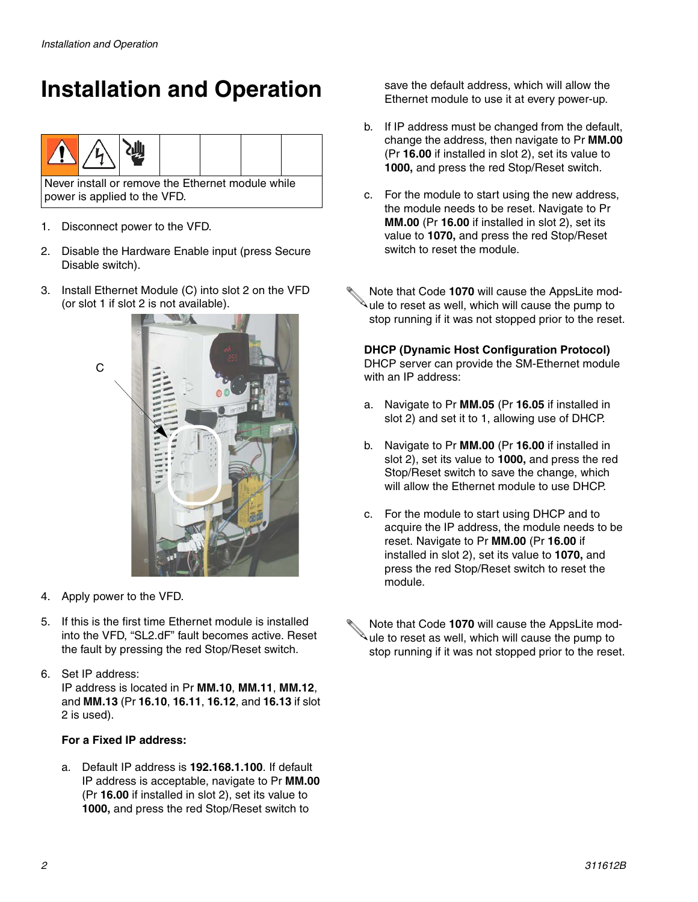## **Installation and Operation**



- 1. Disconnect power to the VFD.
- 2. Disable the Hardware Enable input (press Secure Disable switch).
- 3. Install Ethernet Module (C) into slot 2 on the VFD (or slot 1 if slot 2 is not available).



- 4. Apply power to the VFD.
- 5. If this is the first time Ethernet module is installed into the VFD, "SL2.dF" fault becomes active. Reset the fault by pressing the red Stop/Reset switch.
- 6. Set IP address:

IP address is located in Pr **MM.10**, **MM.11**, **MM.12**, and **MM.13** (Pr **16.10**, **16.11**, **16.12**, and **16.13** if slot 2 is used).

#### **For a Fixed IP address:**

a. Default IP address is **192.168.1.100**. If default IP address is acceptable, navigate to Pr **MM.00** (Pr **16.00** if installed in slot 2), set its value to **1000,** and press the red Stop/Reset switch to

save the default address, which will allow the Ethernet module to use it at every power-up.

- b. If IP address must be changed from the default, change the address, then navigate to Pr **MM.00** (Pr **16.00** if installed in slot 2), set its value to **1000,** and press the red Stop/Reset switch.
- c. For the module to start using the new address, the module needs to be reset. Navigate to Pr **MM.00** (Pr **16.00** if installed in slot 2), set its value to **1070,** and press the red Stop/Reset switch to reset the module.
- Note that Code **1070** will cause the AppsLite module to reset as well, which will cause the pump to stop running if it was not stopped prior to the reset.

**DHCP (Dynamic Host Configuration Protocol)** DHCP server can provide the SM-Ethernet module with an IP address:

- a. Navigate to Pr **MM.05** (Pr **16.05** if installed in slot 2) and set it to 1, allowing use of DHCP.
- b. Navigate to Pr **MM.00** (Pr **16.00** if installed in slot 2), set its value to **1000,** and press the red Stop/Reset switch to save the change, which will allow the Ethernet module to use DHCP.
- c. For the module to start using DHCP and to acquire the IP address, the module needs to be reset. Navigate to Pr **MM.00** (Pr **16.00** if installed in slot 2), set its value to **1070,** and press the red Stop/Reset switch to reset the module.
- Note that Code **1070** will cause the AppsLite module to reset as well, which will cause the pump to stop running if it was not stopped prior to the reset.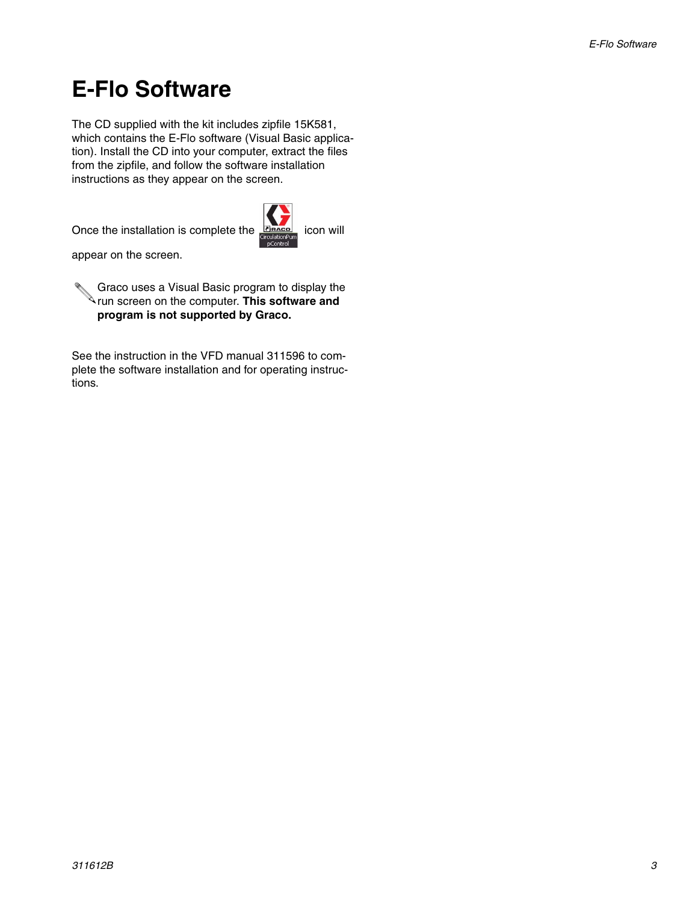### **E-Flo Software**

The CD supplied with the kit includes zipfile 15K581, which contains the E-Flo software (Visual Basic application). Install the CD into your computer, extract the files from the zipfile, and follow the software installation instructions as they appear on the screen.

Once the installation is complete the **Frace** icon will



appear on the screen.

Graco uses a Visual Basic program to display the run screen on the computer. **This software and program is not supported by Graco.**

See the instruction in the VFD manual 311596 to complete the software installation and for operating instructions.